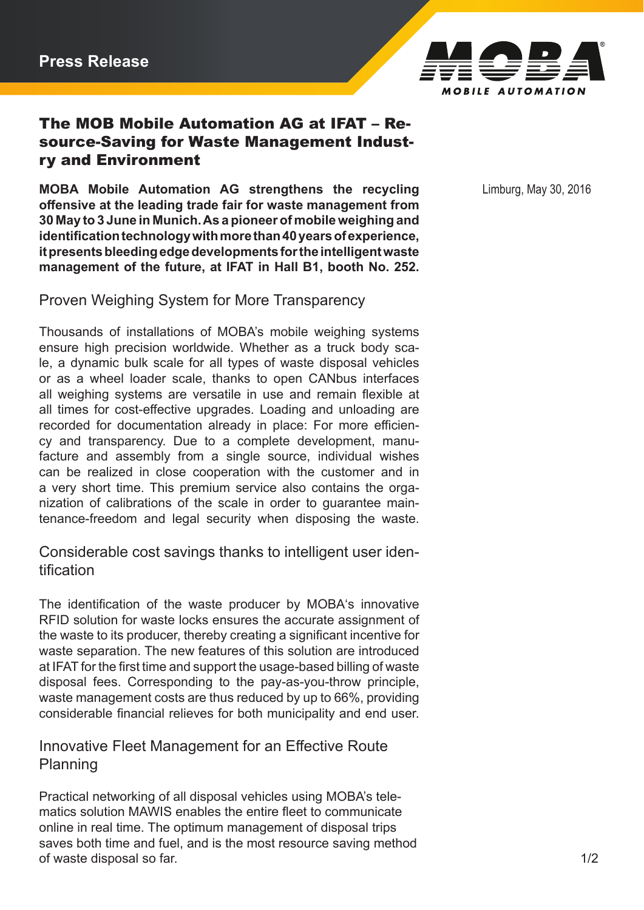

# The MOB Mobile Automation AG at IFAT – Resource-Saving for Waste Management Industry and Environment

**MOBA Mobile Automation AG strengthens the recycling** Limburg, May 30, 2016 **offensive at the leading trade fair for waste management from 30 May to 3 June in Munich. As a pioneer of mobile weighing and identification technology with more than 40 years of experience, it presents bleeding edge developments for the intelligent waste management of the future, at IFAT in Hall B1, booth No. 252.**

Proven Weighing System for More Transparency

Thousands of installations of MOBA's mobile weighing systems ensure high precision worldwide. Whether as a truck body scale, a dynamic bulk scale for all types of waste disposal vehicles or as a wheel loader scale, thanks to open CANbus interfaces all weighing systems are versatile in use and remain flexible at all times for cost-effective upgrades. Loading and unloading are recorded for documentation already in place: For more efficiency and transparency. Due to a complete development, manufacture and assembly from a single source, individual wishes can be realized in close cooperation with the customer and in a very short time. This premium service also contains the organization of calibrations of the scale in order to guarantee maintenance-freedom and legal security when disposing the waste.

Considerable cost savings thanks to intelligent user identification

The identification of the waste producer by MOBA's innovative RFID solution for waste locks ensures the accurate assignment of the waste to its producer, thereby creating a significant incentive for waste separation. The new features of this solution are introduced at IFAT for the first time and support the usage-based billing of waste disposal fees. Corresponding to the pay-as-you-throw principle, waste management costs are thus reduced by up to 66%, providing considerable financial relieves for both municipality and end user.

# Innovative Fleet Management for an Effective Route Planning

Practical networking of all disposal vehicles using MOBA's telematics solution MAWIS enables the entire fleet to communicate online in real time. The optimum management of disposal trips saves both time and fuel, and is the most resource saving method of waste disposal so far. 1/2